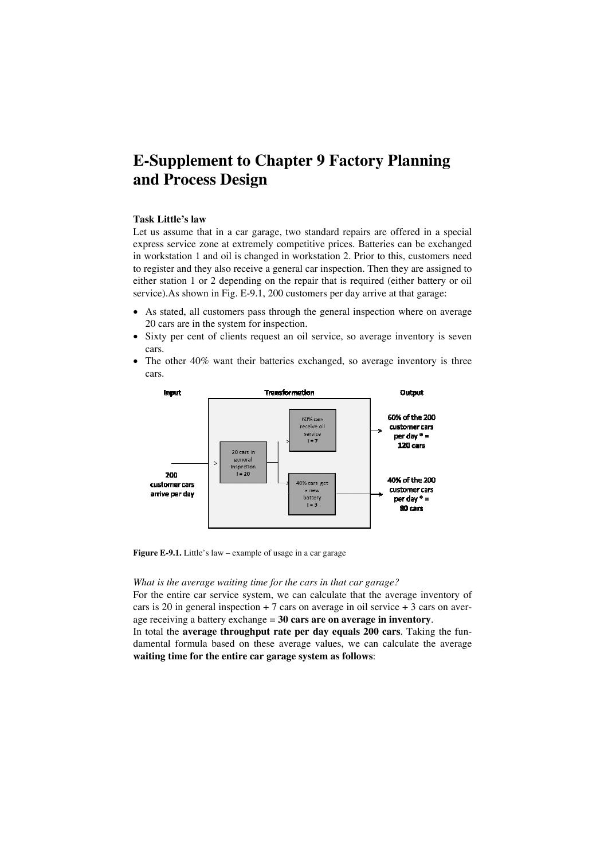# **E-Supplement to Chapter 9 Factory Planning and Process Design**

# **Task Little's law**

Let us assume that in a car garage, two standard repairs are offered in a special express service zone at extremely competitive prices. Batteries can be exchanged in workstation 1 and oil is changed in workstation 2. Prior to this, customers need to register and they also receive a general car inspection. Then they are assigned to either station 1 or 2 depending on the repair that is required (either battery or oil service).As shown in Fig. E-9.1, 200 customers per day arrive at that garage:

- As stated, all customers pass through the general inspection where on average 20 cars are in the system for inspection.
- Sixty per cent of clients request an oil service, so average inventory is seven cars.
- The other 40% want their batteries exchanged, so average inventory is three cars.



**Figure E-9.1.** Little's law – example of usage in a car garage

#### *What is the average waiting time for the cars in that car garage?*

For the entire car service system, we can calculate that the average inventory of cars is 20 in general inspection  $+ 7$  cars on average in oil service  $+ 3$  cars on average receiving a battery exchange = **30 cars are on average in inventory**.

In total the **average throughput rate per day equals 200 cars**. Taking the fundamental formula based on these average values, we can calculate the average **waiting time for the entire car garage system as follows**: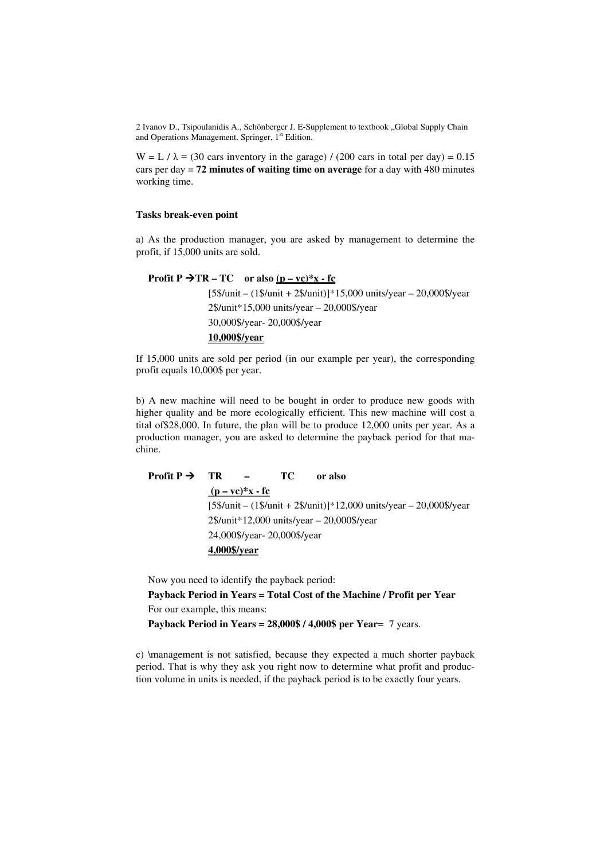$W = L / \lambda = (30 \text{ cars inventory in the garage}) / (200 \text{ cars in total per day}) = 0.15$ cars per day = **72 minutes of waiting time on average** for a day with 480 minutes working time.

# **Tasks break-even point**

a) As the production manager, you are asked by management to determine the profit, if 15,000 units are sold.

**Profit P**  $\rightarrow$ **TR** – TC or also  $(p - vc)^*x$  - fc

 [5\$/unit – (1\$/unit + 2\$/unit)]\*15,000 units/year – 20,000\$/year 2\$/unit\*15,000 units/year – 20,000\$/year 30,000\$/year- 20,000\$/year **10,000\$/year**

If 15,000 units are sold per period (in our example per year), the corresponding profit equals 10,000\$ per year.

b) A new machine will need to be bought in order to produce new goods with higher quality and be more ecologically efficient. This new machine will cost a tital of\$28,000. In future, the plan will be to produce 12,000 units per year. As a production manager, you are asked to determine the payback period for that machine.

**Profit P**  $\rightarrow$  **TR** – **TC** or also  $(p - vc)*x - fc$  [5\$/unit – (1\$/unit + 2\$/unit)]\*12,000 units/year – 20,000\$/year 2\$/unit\*12,000 units/year – 20,000\$/year 24,000\$/year- 20,000\$/year **4,000\$/year**

Now you need to identify the payback period:

**Payback Period in Years = Total Cost of the Machine / Profit per Year**  For our example, this means:

**Payback Period in Years = 28,000\$ / 4,000\$ per Year**= 7 years.

c) \management is not satisfied, because they expected a much shorter payback period. That is why they ask you right now to determine what profit and production volume in units is needed, if the payback period is to be exactly four years.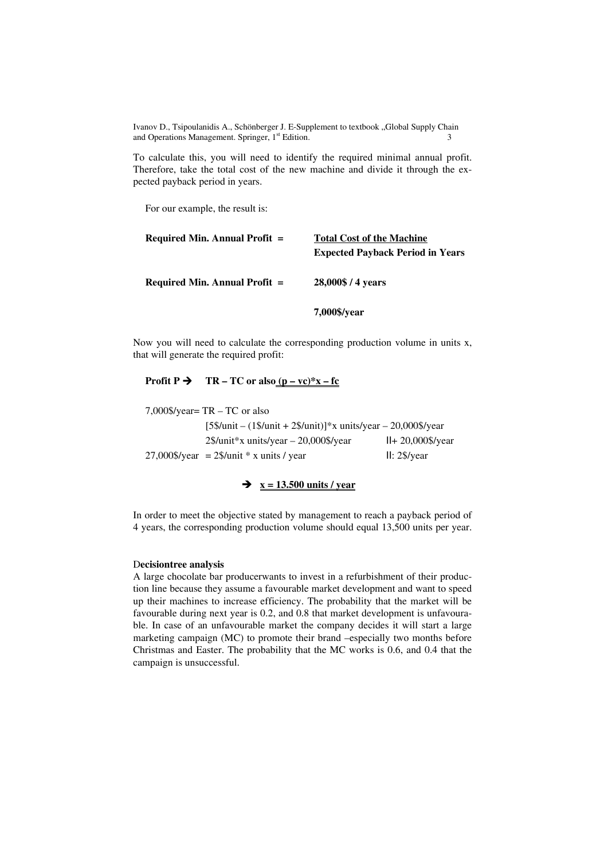To calculate this, you will need to identify the required minimal annual profit. Therefore, take the total cost of the new machine and divide it through the expected payback period in years.

For our example, the result is:

| Required Min. Annual Profit = | <b>Total Cost of the Machine</b><br><b>Expected Payback Period in Years</b> |
|-------------------------------|-----------------------------------------------------------------------------|
| Required Min. Annual Profit = | 28,000\$/4 years                                                            |
|                               | 7,000\$/year                                                                |

Now you will need to calculate the corresponding production volume in units x, that will generate the required profit:

# **Profit P**  $\rightarrow$  **TR** – TC or also  $(p - vc)^*x$  – fc

| 7,000\$/year= $TR - TC$ or also |                                                                    |                       |  |
|---------------------------------|--------------------------------------------------------------------|-----------------------|--|
|                                 | $[5\$/unit - (1\$/unit + 2\$/unit)]$ *x units/year - 20,000\$/year |                       |  |
|                                 | $2\frac{\gamma}{\alpha}$ units/year - 20,000\$/year                | $II + 20,000$ \$/year |  |
|                                 | $27,000$ \$/year = 2\$/unit * x units / year                       | II: 2\$/year          |  |

#### $\rightarrow$ **x = 13.500 units / year**

In order to meet the objective stated by management to reach a payback period of 4 years, the corresponding production volume should equal 13,500 units per year.

# D**ecisiontree analysis**

A large chocolate bar producerwants to invest in a refurbishment of their production line because they assume a favourable market development and want to speed up their machines to increase efficiency. The probability that the market will be favourable during next year is 0.2, and 0.8 that market development is unfavourable. In case of an unfavourable market the company decides it will start a large marketing campaign (MC) to promote their brand –especially two months before Christmas and Easter. The probability that the MC works is 0.6, and 0.4 that the campaign is unsuccessful.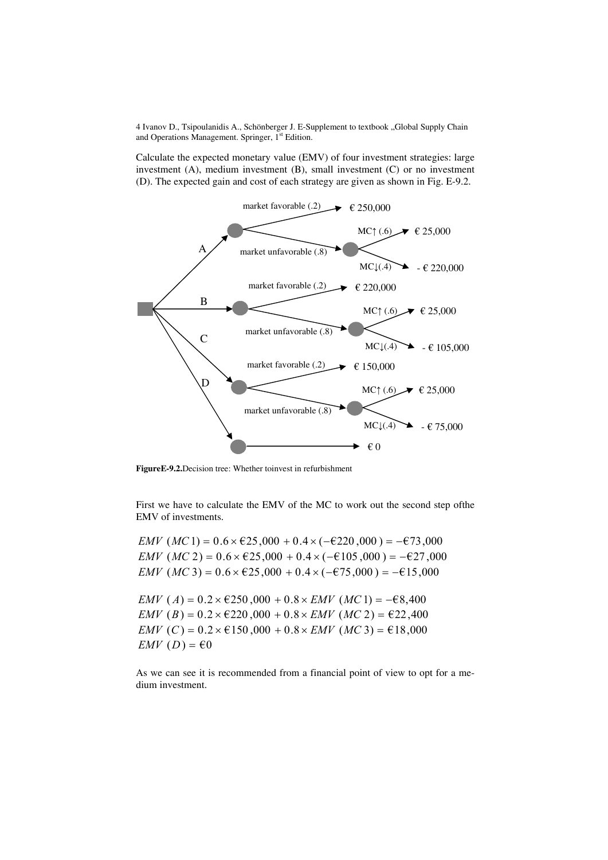Calculate the expected monetary value (EMV) of four investment strategies: large investment (A), medium investment (B), small investment (C) or no investment (D). The expected gain and cost of each strategy are given as shown in Fig. E-9.2.



**FigureE-9.2.**Decision tree: Whether toinvest in refurbishment

First we have to calculate the EMV of the MC to work out the second step ofthe EMV of investments.

*EMV*  $(MC1) = 0.6 \times \text{\textsterling}25,000 + 0.4 \times (-\text{\textsterling}220,000) = -\text{\textsterling}73,000$ *EMV* (*MC* 2) =  $0.6 \times \text{\textsterling}25,000 + 0.4 \times (-\text{\textsterling}105,000) = -\text{\textsterling}27,000$ *EMV*  $(MC3) = 0.6 \times \text{\textsterling}25,000 + 0.4 \times (-\text{\textsterling}75,000) = -\text{\textsterling}15,000$ 

*EMV* ( $A$ ) =  $0.2 \times \text{\textsterling}250,000 + 0.8 \times \text{\textsterling}M$ *V* (*MC* 1) =  $-\text{\textsterling}8,400$ *EMV* (*B*) =  $0.2 \times \text{\textsterling}220,000 + 0.8 \times \text{\textsterling}MV$  (*MC* 2) =  $\text{\textsterling}22,400$ *EMV* (*C*) =  $0.2 \times \text{\textsterling}150,000 + 0.8 \times \text{\textsterling}MV$  (*MC* 3) =  $\text{\textsterling}18,000$ *EMV*  $(D) = \epsilon 0$ 

As we can see it is recommended from a financial point of view to opt for a medium investment.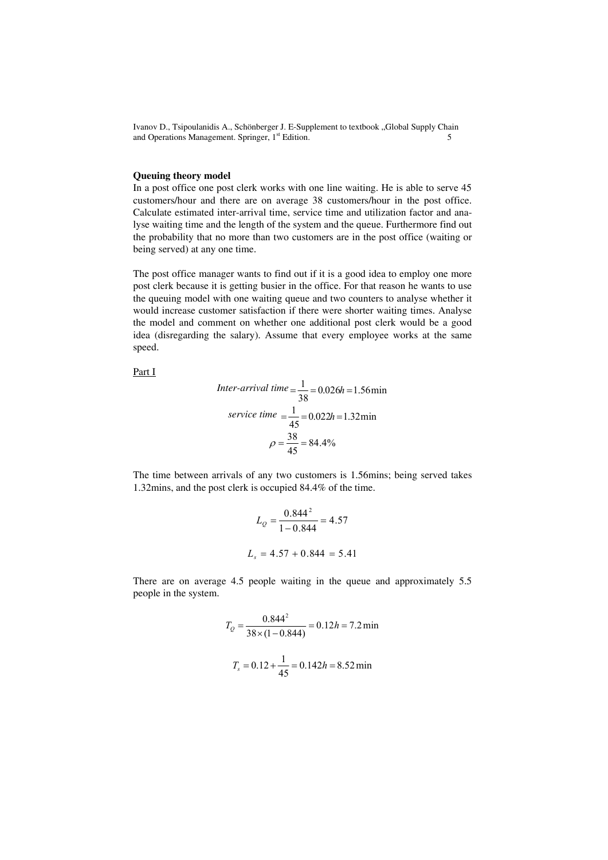# **Queuing theory model**

In a post office one post clerk works with one line waiting. He is able to serve 45 customers/hour and there are on average 38 customers/hour in the post office. Calculate estimated inter-arrival time, service time and utilization factor and analyse waiting time and the length of the system and the queue. Furthermore find out the probability that no more than two customers are in the post office (waiting or being served) at any one time.

The post office manager wants to find out if it is a good idea to employ one more post clerk because it is getting busier in the office. For that reason he wants to use the queuing model with one waiting queue and two counters to analyse whether it would increase customer satisfaction if there were shorter waiting times. Analyse the model and comment on whether one additional post clerk would be a good idea (disregarding the salary). Assume that every employee works at the same speed.

Part I

*Inter-arrival time* = 
$$
\frac{1}{38}
$$
 = 0.026*h* = 1.56min  
*service time* =  $\frac{1}{45}$  = 0.022*h* = 1.32min  
 $\rho = \frac{38}{45}$  = 84.4%

The time between arrivals of any two customers is 1.56mins; being served takes 1.32mins, and the post clerk is occupied 84.4% of the time.

$$
L_Q = \frac{0.844^2}{1 - 0.844} = 4.57
$$
  

$$
L_s = 4.57 + 0.844 = 5.41
$$

There are on average 4.5 people waiting in the queue and approximately 5.5 people in the system.

$$
T_Q = \frac{0.844^2}{38 \times (1 - 0.844)} = 0.12h = 7.2 \text{ min}
$$

$$
T_s = 0.12 + \frac{1}{45} = 0.142h = 8.52 \text{ min}
$$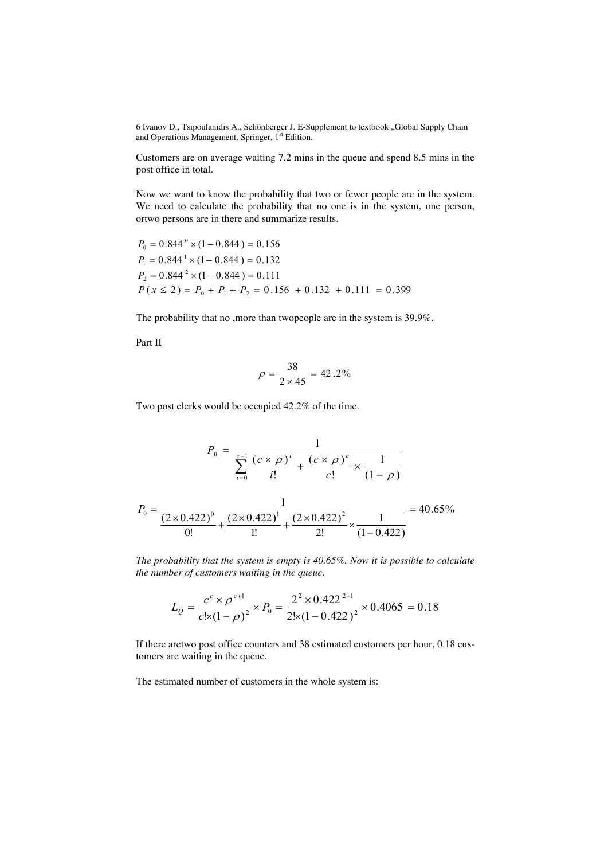Customers are on average waiting 7.2 mins in the queue and spend 8.5 mins in the post office in total.

Now we want to know the probability that two or fewer people are in the system. We need to calculate the probability that no one is in the system, one person, ortwo persons are in there and summarize results.

$$
P_0 = 0.844^0 \times (1 - 0.844) = 0.156
$$
  
\n
$$
P_1 = 0.844^1 \times (1 - 0.844) = 0.132
$$
  
\n
$$
P_2 = 0.844^2 \times (1 - 0.844) = 0.111
$$
  
\n
$$
P(x \le 2) = P_0 + P_1 + P_2 = 0.156 + 0.132 + 0.111 = 0.399
$$

The probability that no ,more than twopeople are in the system is 39.9%.

Part II

$$
\rho = \frac{38}{2 \times 45} = 42.2\%
$$

Two post clerks would be occupied 42.2% of the time.

$$
P_0 = \frac{1}{\sum_{i=0}^{c-1} \frac{(c \times \rho)^i}{i!} + \frac{(c \times \rho)^c}{c!} \times \frac{1}{(1-\rho)}}
$$
  

$$
P_0 = \frac{1}{\frac{(2 \times 0.422)^0}{0!} + \frac{(2 \times 0.422)^1}{1!} + \frac{(2 \times 0.422)^2}{2!} \times \frac{1}{(1-0.422)}}
$$
= 40.65%

*The probability that the system is empty is 40.65%. Now it is possible to calculate the number of customers waiting in the queue.*

$$
L_{\mathcal{Q}} = \frac{c^c \times \rho^{c+1}}{c! \times (1-\rho)^2} \times P_0 = \frac{2^2 \times 0.422^{2+1}}{2! \times (1-0.422)^2} \times 0.4065 = 0.18
$$

If there aretwo post office counters and 38 estimated customers per hour, 0.18 customers are waiting in the queue.

The estimated number of customers in the whole system is: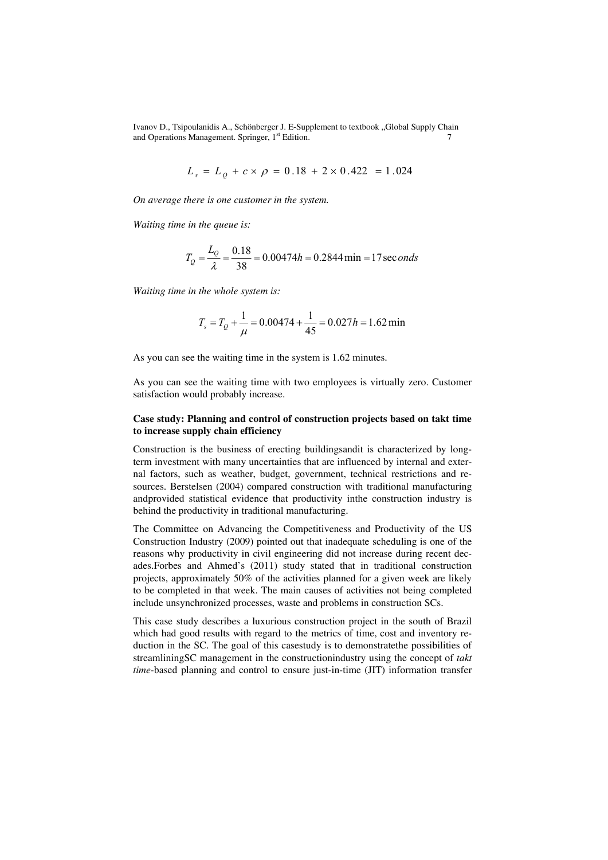$$
L_s = L_\rho + c \times \rho = 0.18 + 2 \times 0.422 = 1.024
$$

*On average there is one customer in the system.*

*Waiting time in the queue is:*

$$
T_Q = \frac{L_Q}{\lambda} = \frac{0.18}{38} = 0.00474h = 0.2844 \text{ min} = 17 \text{ sec} \text{ on } d\text{s}
$$

*Waiting time in the whole system is:*

$$
T_s = T_Q + \frac{1}{\mu} = 0.00474 + \frac{1}{45} = 0.027h = 1.62 \text{ min}
$$

As you can see the waiting time in the system is 1.62 minutes.

As you can see the waiting time with two employees is virtually zero. Customer satisfaction would probably increase.

# **Case study: Planning and control of construction projects based on takt time to increase supply chain efficiency**

Construction is the business of erecting buildingsandit is characterized by longterm investment with many uncertainties that are influenced by internal and external factors, such as weather, budget, government, technical restrictions and resources. Berstelsen (2004) compared construction with traditional manufacturing andprovided statistical evidence that productivity inthe construction industry is behind the productivity in traditional manufacturing.

The Committee on Advancing the Competitiveness and Productivity of the US Construction Industry (2009) pointed out that inadequate scheduling is one of the reasons why productivity in civil engineering did not increase during recent decades.Forbes and Ahmed's (2011) study stated that in traditional construction projects, approximately 50% of the activities planned for a given week are likely to be completed in that week. The main causes of activities not being completed include unsynchronized processes, waste and problems in construction SCs.

This case study describes a luxurious construction project in the south of Brazil which had good results with regard to the metrics of time, cost and inventory reduction in the SC. The goal of this casestudy is to demonstratethe possibilities of streamliningSC management in the constructionindustry using the concept of *takt time*-based planning and control to ensure just-in-time (JIT) information transfer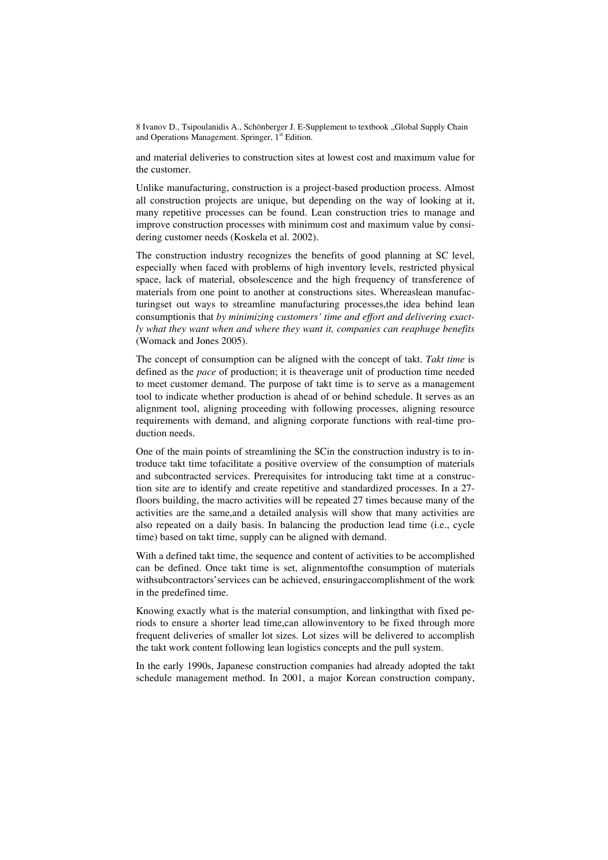and material deliveries to construction sites at lowest cost and maximum value for the customer.

Unlike manufacturing, construction is a project-based production process. Almost all construction projects are unique, but depending on the way of looking at it, many repetitive processes can be found. Lean construction tries to manage and improve construction processes with minimum cost and maximum value by considering customer needs (Koskela et al. 2002).

The construction industry recognizes the benefits of good planning at SC level, especially when faced with problems of high inventory levels, restricted physical space, lack of material, obsolescence and the high frequency of transference of materials from one point to another at constructions sites. Whereaslean manufacturingset out ways to streamline manufacturing processes,the idea behind lean consumptionis that *by minimizing customers' time and effort and delivering exactly what they want when and where they want it, companies can reaphuge benefits* (Womack and Jones 2005).

The concept of consumption can be aligned with the concept of takt. *Takt time* is defined as the *pace* of production; it is theaverage unit of production time needed to meet customer demand. The purpose of takt time is to serve as a management tool to indicate whether production is ahead of or behind schedule. It serves as an alignment tool, aligning proceeding with following processes, aligning resource requirements with demand, and aligning corporate functions with real-time production needs.

One of the main points of streamlining the SCin the construction industry is to introduce takt time tofacilitate a positive overview of the consumption of materials and subcontracted services. Prerequisites for introducing takt time at a construction site are to identify and create repetitive and standardized processes. In a 27 floors building, the macro activities will be repeated 27 times because many of the activities are the same,and a detailed analysis will show that many activities are also repeated on a daily basis. In balancing the production lead time (i.e., cycle time) based on takt time, supply can be aligned with demand.

With a defined takt time, the sequence and content of activities to be accomplished can be defined. Once takt time is set, alignmentofthe consumption of materials withsubcontractors'services can be achieved, ensuringaccomplishment of the work in the predefined time.

Knowing exactly what is the material consumption, and linkingthat with fixed periods to ensure a shorter lead time,can allowinventory to be fixed through more frequent deliveries of smaller lot sizes. Lot sizes will be delivered to accomplish the takt work content following lean logistics concepts and the pull system.

In the early 1990s, Japanese construction companies had already adopted the takt schedule management method. In 2001, a major Korean construction company,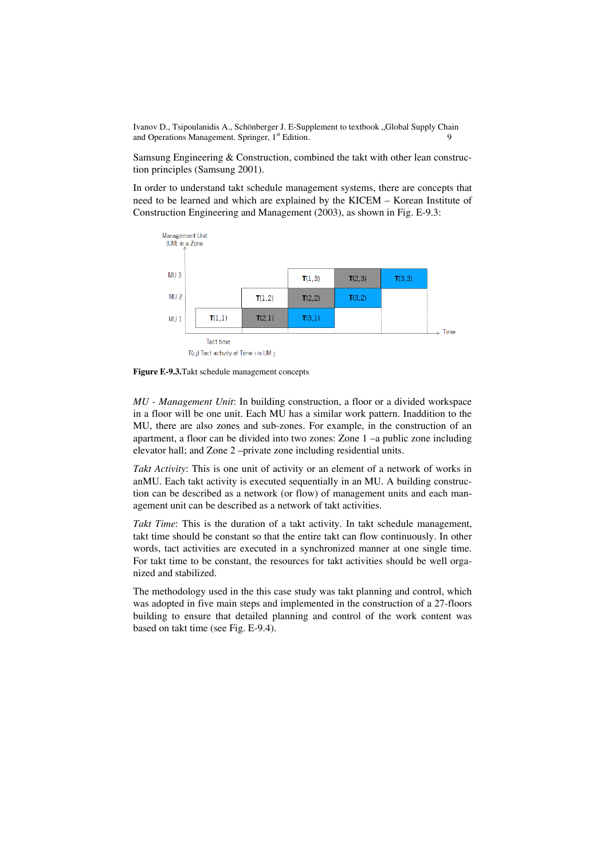Samsung Engineering & Construction, combined the takt with other lean construction principles (Samsung 2001).

In order to understand takt schedule management systems, there are concepts that need to be learned and which are explained by the KICEM – Korean Institute of Construction Engineering and Management (2003), as shown in Fig. E-9.3:



**Figure E-9.3.**Takt schedule management concepts

*MU - Management Unit*: In building construction, a floor or a divided workspace in a floor will be one unit. Each MU has a similar work pattern. Inaddition to the MU, there are also zones and sub-zones. For example, in the construction of an apartment, a floor can be divided into two zones: Zone 1 –a public zone including elevator hall; and Zone 2 –private zone including residential units.

*Takt Activity*: This is one unit of activity or an element of a network of works in anMU. Each takt activity is executed sequentially in an MU. A building construction can be described as a network (or flow) of management units and each management unit can be described as a network of takt activities.

*Takt Time*: This is the duration of a takt activity. In takt schedule management, takt time should be constant so that the entire takt can flow continuously. In other words, tact activities are executed in a synchronized manner at one single time. For takt time to be constant, the resources for takt activities should be well organized and stabilized.

The methodology used in the this case study was takt planning and control, which was adopted in five main steps and implemented in the construction of a 27-floors building to ensure that detailed planning and control of the work content was based on takt time (see Fig. E-9.4).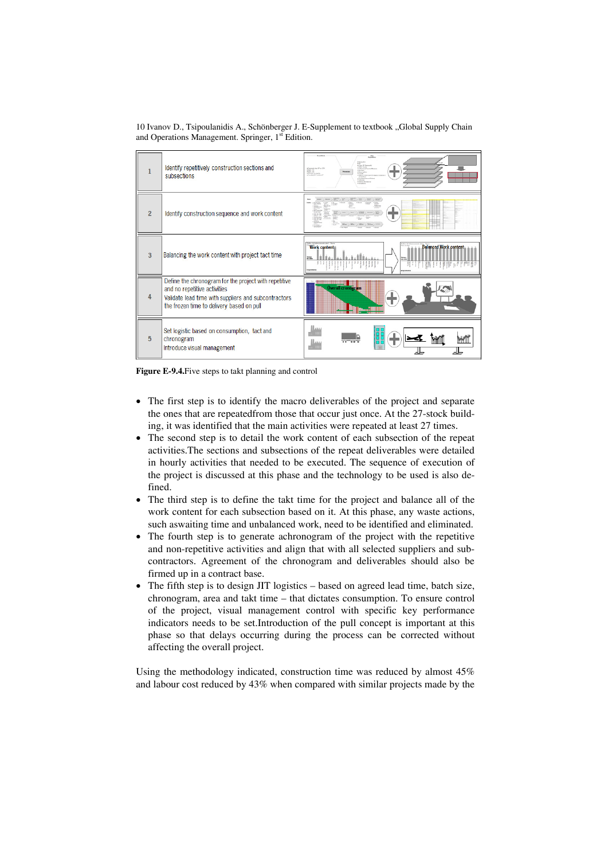10 Ivanov D., Tsipoulanidis A., Schönberger J. E-Supplement to textbook "Global Supply Chain and Operations Management. Springer, 1<sup>st</sup> Edition.

|                | Identify repetitively construction sections and<br>subsections                                                                                                                             | $\sim$<br>* Lazar (F Fast)<br>* Reflect points<br>Colombara<br>1 April 12<br>1 April 12<br>1 April 14<br>1 Emails Cervine b<br>· Fachada ExternalPistu<br>. Visitoria Br. |
|----------------|--------------------------------------------------------------------------------------------------------------------------------------------------------------------------------------------|---------------------------------------------------------------------------------------------------------------------------------------------------------------------------|
| $\overline{2}$ | Identify construction sequence and work content                                                                                                                                            |                                                                                                                                                                           |
| 3              | Balancing the work content with project tact time                                                                                                                                          | <b>Work contents</b><br><b>Balanced Work content</b><br>tampa<br>Asima                                                                                                    |
| 4              | Define the chronogram for the project with repetitive<br>and no repetitive activities<br>Validate lead time with suppliers and subcontractors<br>the frozen time to delivery based on pull | <b>THE OVER DECEMBER 1999</b>                                                                                                                                             |
| 5              | Set logistic based on consumption, tact and<br>chronogram<br>Introduce visual management                                                                                                   |                                                                                                                                                                           |

**Figure E-9.4.**Five steps to takt planning and control

- The first step is to identify the macro deliverables of the project and separate the ones that are repeatedfrom those that occur just once. At the 27-stock building, it was identified that the main activities were repeated at least 27 times.
- The second step is to detail the work content of each subsection of the repeat activities.The sections and subsections of the repeat deliverables were detailed in hourly activities that needed to be executed. The sequence of execution of the project is discussed at this phase and the technology to be used is also defined.
- The third step is to define the takt time for the project and balance all of the work content for each subsection based on it. At this phase, any waste actions, such aswaiting time and unbalanced work, need to be identified and eliminated.
- The fourth step is to generate achronogram of the project with the repetitive and non-repetitive activities and align that with all selected suppliers and subcontractors. Agreement of the chronogram and deliverables should also be firmed up in a contract base.
- The fifth step is to design JIT logistics based on agreed lead time, batch size, chronogram, area and takt time – that dictates consumption. To ensure control of the project, visual management control with specific key performance indicators needs to be set.Introduction of the pull concept is important at this phase so that delays occurring during the process can be corrected without affecting the overall project.

Using the methodology indicated, construction time was reduced by almost 45% and labour cost reduced by 43% when compared with similar projects made by the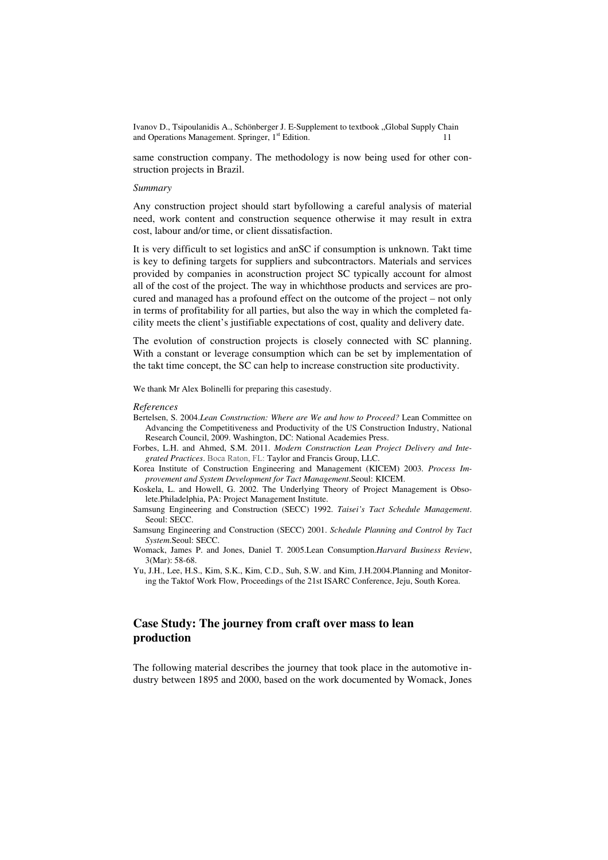same construction company. The methodology is now being used for other construction projects in Brazil.

#### *Summary*

Any construction project should start byfollowing a careful analysis of material need, work content and construction sequence otherwise it may result in extra cost, labour and/or time, or client dissatisfaction.

It is very difficult to set logistics and anSC if consumption is unknown. Takt time is key to defining targets for suppliers and subcontractors. Materials and services provided by companies in aconstruction project SC typically account for almost all of the cost of the project. The way in whichthose products and services are procured and managed has a profound effect on the outcome of the project – not only in terms of profitability for all parties, but also the way in which the completed facility meets the client's justifiable expectations of cost, quality and delivery date.

The evolution of construction projects is closely connected with SC planning. With a constant or leverage consumption which can be set by implementation of the takt time concept, the SC can help to increase construction site productivity.

We thank Mr Alex Bolinelli for preparing this casestudy.

#### *References*

- Bertelsen, S. 2004.*Lean Construction: Where are We and how to Proceed?* Lean Committee on Advancing the Competitiveness and Productivity of the US Construction Industry, National Research Council, 2009. Washington, DC: National Academies Press.
- Forbes, L.H. and Ahmed, S.M. 2011. *Modern Construction Lean Project Delivery and Integrated Practices*. Boca Raton, FL: Taylor and Francis Group, LLC.
- Korea Institute of Construction Engineering and Management (KICEM) 2003. *Process Improvement and System Development for Tact Management*.Seoul: KICEM.
- Koskela, L. and Howell, G. 2002. The Underlying Theory of Project Management is Obsolete.Philadelphia, PA: Project Management Institute.
- Samsung Engineering and Construction (SECC) 1992. *Taisei's Tact Schedule Management*. Seoul: SECC.
- Samsung Engineering and Construction (SECC) 2001. *Schedule Planning and Control by Tact System*.Seoul: SECC.
- Womack, James P. and Jones, Daniel T. 2005.Lean Consumption.*Harvard Business Review*, 3(Mar): 58-68.
- Yu, J.H., Lee, H.S., Kim, S.K., Kim, C.D., Suh, S.W. and Kim, J.H.2004.Planning and Monitoring the Taktof Work Flow, Proceedings of the 21st ISARC Conference, Jeju, South Korea.

# **Case Study: The journey from craft over mass to lean production**

The following material describes the journey that took place in the automotive industry between 1895 and 2000, based on the work documented by Womack, Jones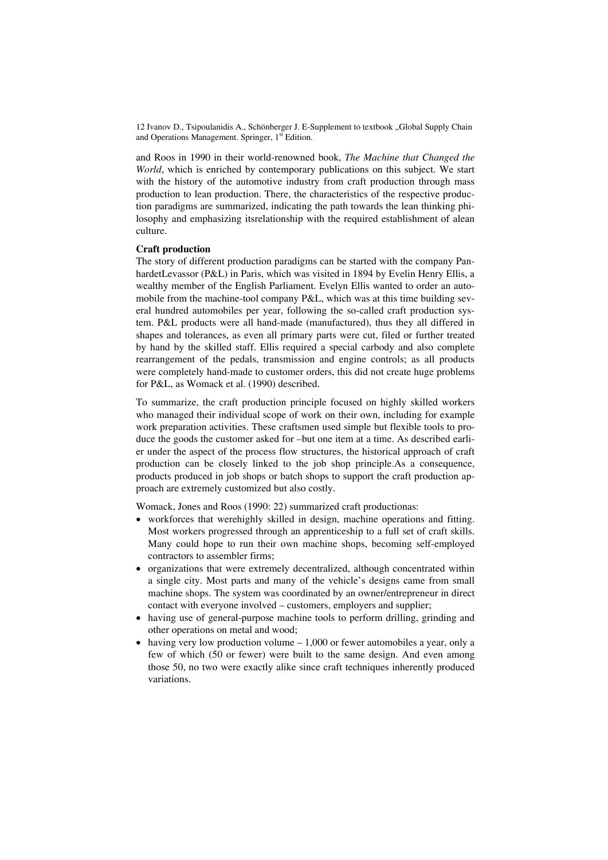and Roos in 1990 in their world-renowned book, *The Machine that Changed the World*, which is enriched by contemporary publications on this subject. We start with the history of the automotive industry from craft production through mass production to lean production. There, the characteristics of the respective production paradigms are summarized, indicating the path towards the lean thinking philosophy and emphasizing itsrelationship with the required establishment of alean culture.

# **Craft production**

The story of different production paradigms can be started with the company PanhardetLevassor (P&L) in Paris, which was visited in 1894 by Evelin Henry Ellis, a wealthy member of the English Parliament. Evelyn Ellis wanted to order an automobile from the machine-tool company P&L, which was at this time building several hundred automobiles per year, following the so-called craft production system. P&L products were all hand-made (manufactured), thus they all differed in shapes and tolerances, as even all primary parts were cut, filed or further treated by hand by the skilled staff. Ellis required a special carbody and also complete rearrangement of the pedals, transmission and engine controls; as all products were completely hand-made to customer orders, this did not create huge problems for P&L, as Womack et al. (1990) described.

To summarize, the craft production principle focused on highly skilled workers who managed their individual scope of work on their own, including for example work preparation activities. These craftsmen used simple but flexible tools to produce the goods the customer asked for –but one item at a time. As described earlier under the aspect of the process flow structures, the historical approach of craft production can be closely linked to the job shop principle.As a consequence, products produced in job shops or batch shops to support the craft production approach are extremely customized but also costly.

Womack, Jones and Roos (1990: 22) summarized craft productionas:

- workforces that werehighly skilled in design, machine operations and fitting. Most workers progressed through an apprenticeship to a full set of craft skills. Many could hope to run their own machine shops, becoming self-employed contractors to assembler firms;
- organizations that were extremely decentralized, although concentrated within a single city. Most parts and many of the vehicle's designs came from small machine shops. The system was coordinated by an owner/entrepreneur in direct contact with everyone involved – customers, employers and supplier;
- having use of general-purpose machine tools to perform drilling, grinding and other operations on metal and wood;
- having very low production volume  $-1,000$  or fewer automobiles a year, only a few of which (50 or fewer) were built to the same design. And even among those 50, no two were exactly alike since craft techniques inherently produced variations.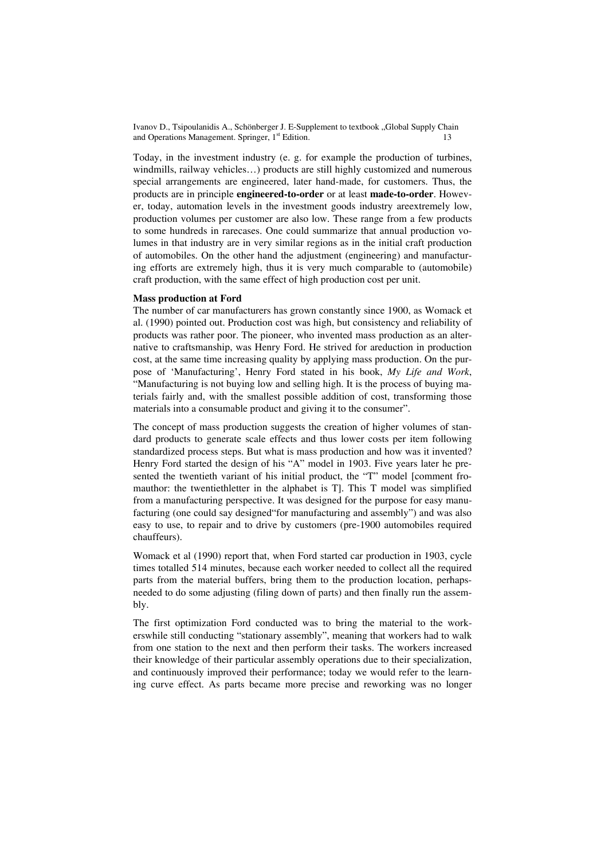Today, in the investment industry (e. g. for example the production of turbines, windmills, railway vehicles…) products are still highly customized and numerous special arrangements are engineered, later hand-made, for customers. Thus, the products are in principle **engineered-to-order** or at least **made-to-order**. However, today, automation levels in the investment goods industry areextremely low, production volumes per customer are also low. These range from a few products to some hundreds in rarecases. One could summarize that annual production volumes in that industry are in very similar regions as in the initial craft production of automobiles. On the other hand the adjustment (engineering) and manufacturing efforts are extremely high, thus it is very much comparable to (automobile) craft production, with the same effect of high production cost per unit.

### **Mass production at Ford**

The number of car manufacturers has grown constantly since 1900, as Womack et al. (1990) pointed out. Production cost was high, but consistency and reliability of products was rather poor. The pioneer, who invented mass production as an alternative to craftsmanship, was Henry Ford. He strived for areduction in production cost, at the same time increasing quality by applying mass production. On the purpose of 'Manufacturing', Henry Ford stated in his book, *My Life and Work*, "Manufacturing is not buying low and selling high. It is the process of buying materials fairly and, with the smallest possible addition of cost, transforming those materials into a consumable product and giving it to the consumer".

The concept of mass production suggests the creation of higher volumes of standard products to generate scale effects and thus lower costs per item following standardized process steps. But what is mass production and how was it invented? Henry Ford started the design of his "A" model in 1903. Five years later he presented the twentieth variant of his initial product, the "T" model [comment fromauthor: the twentiethletter in the alphabet is T]. This T model was simplified from a manufacturing perspective. It was designed for the purpose for easy manufacturing (one could say designed"for manufacturing and assembly") and was also easy to use, to repair and to drive by customers (pre-1900 automobiles required chauffeurs).

Womack et al (1990) report that, when Ford started car production in 1903, cycle times totalled 514 minutes, because each worker needed to collect all the required parts from the material buffers, bring them to the production location, perhapsneeded to do some adjusting (filing down of parts) and then finally run the assembly.

The first optimization Ford conducted was to bring the material to the workerswhile still conducting "stationary assembly", meaning that workers had to walk from one station to the next and then perform their tasks. The workers increased their knowledge of their particular assembly operations due to their specialization, and continuously improved their performance; today we would refer to the learning curve effect. As parts became more precise and reworking was no longer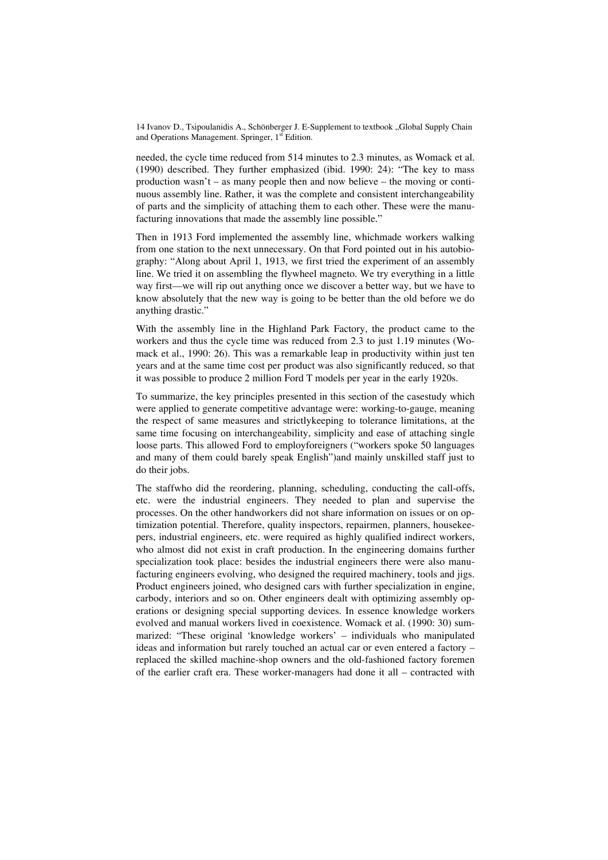needed, the cycle time reduced from 514 minutes to 2.3 minutes, as Womack et al. (1990) described. They further emphasized (ibid. 1990: 24): "The key to mass production wasn't – as many people then and now believe – the moving or continuous assembly line. Rather, it was the complete and consistent interchangeability of parts and the simplicity of attaching them to each other. These were the manufacturing innovations that made the assembly line possible."

Then in 1913 Ford implemented the assembly line, whichmade workers walking from one station to the next unnecessary. On that Ford pointed out in his autobiography: "Along about April 1, 1913, we first tried the experiment of an assembly line. We tried it on assembling the flywheel magneto. We try everything in a little way first—we will rip out anything once we discover a better way, but we have to know absolutely that the new way is going to be better than the old before we do anything drastic."

With the assembly line in the Highland Park Factory, the product came to the workers and thus the cycle time was reduced from 2.3 to just 1.19 minutes (Womack et al., 1990: 26). This was a remarkable leap in productivity within just ten years and at the same time cost per product was also significantly reduced, so that it was possible to produce 2 million Ford T models per year in the early 1920s.

To summarize, the key principles presented in this section of the casestudy which were applied to generate competitive advantage were: working-to-gauge, meaning the respect of same measures and strictlykeeping to tolerance limitations, at the same time focusing on interchangeability, simplicity and ease of attaching single loose parts. This allowed Ford to employforeigners ("workers spoke 50 languages and many of them could barely speak English")and mainly unskilled staff just to do their jobs.

The staffwho did the reordering, planning, scheduling, conducting the call-offs, etc. were the industrial engineers. They needed to plan and supervise the processes. On the other handworkers did not share information on issues or on optimization potential. Therefore, quality inspectors, repairmen, planners, housekeepers, industrial engineers, etc. were required as highly qualified indirect workers, who almost did not exist in craft production. In the engineering domains further specialization took place: besides the industrial engineers there were also manufacturing engineers evolving, who designed the required machinery, tools and jigs. Product engineers joined, who designed cars with further specialization in engine, carbody, interiors and so on. Other engineers dealt with optimizing assembly operations or designing special supporting devices. In essence knowledge workers evolved and manual workers lived in coexistence. Womack et al. (1990: 30) summarized: "These original 'knowledge workers' – individuals who manipulated ideas and information but rarely touched an actual car or even entered a factory – replaced the skilled machine-shop owners and the old-fashioned factory foremen of the earlier craft era. These worker-managers had done it all – contracted with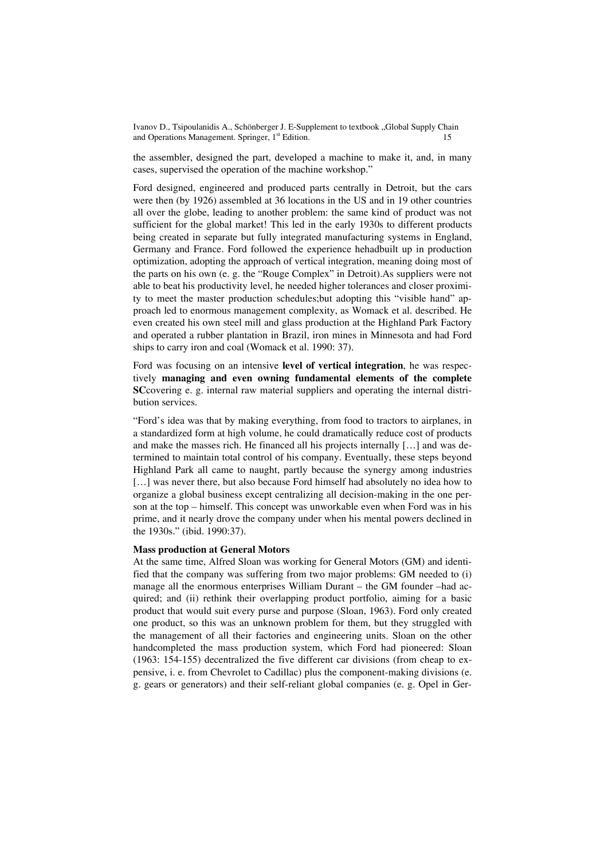the assembler, designed the part, developed a machine to make it, and, in many cases, supervised the operation of the machine workshop."

Ford designed, engineered and produced parts centrally in Detroit, but the cars were then (by 1926) assembled at 36 locations in the US and in 19 other countries all over the globe, leading to another problem: the same kind of product was not sufficient for the global market! This led in the early 1930s to different products being created in separate but fully integrated manufacturing systems in England, Germany and France. Ford followed the experience hehadbuilt up in production optimization, adopting the approach of vertical integration, meaning doing most of the parts on his own (e. g. the "Rouge Complex" in Detroit).As suppliers were not able to beat his productivity level, he needed higher tolerances and closer proximity to meet the master production schedules;but adopting this "visible hand" approach led to enormous management complexity, as Womack et al. described. He even created his own steel mill and glass production at the Highland Park Factory and operated a rubber plantation in Brazil, iron mines in Minnesota and had Ford ships to carry iron and coal (Womack et al. 1990: 37).

Ford was focusing on an intensive **level of vertical integration**, he was respectively **managing and even owning fundamental elements of the complete SC**covering e. g. internal raw material suppliers and operating the internal distribution services.

"Ford's idea was that by making everything, from food to tractors to airplanes, in a standardized form at high volume, he could dramatically reduce cost of products and make the masses rich. He financed all his projects internally […] and was determined to maintain total control of his company. Eventually, these steps beyond Highland Park all came to naught, partly because the synergy among industries [...] was never there, but also because Ford himself had absolutely no idea how to organize a global business except centralizing all decision-making in the one person at the top – himself. This concept was unworkable even when Ford was in his prime, and it nearly drove the company under when his mental powers declined in the 1930s." (ibid. 1990:37).

#### **Mass production at General Motors**

At the same time, Alfred Sloan was working for General Motors (GM) and identified that the company was suffering from two major problems: GM needed to (i) manage all the enormous enterprises William Durant – the GM founder –had acquired; and (ii) rethink their overlapping product portfolio, aiming for a basic product that would suit every purse and purpose (Sloan, 1963). Ford only created one product, so this was an unknown problem for them, but they struggled with the management of all their factories and engineering units. Sloan on the other handcompleted the mass production system, which Ford had pioneered: Sloan (1963: 154-155) decentralized the five different car divisions (from cheap to expensive, i. e. from Chevrolet to Cadillac) plus the component-making divisions (e. g. gears or generators) and their self-reliant global companies (e. g. Opel in Ger-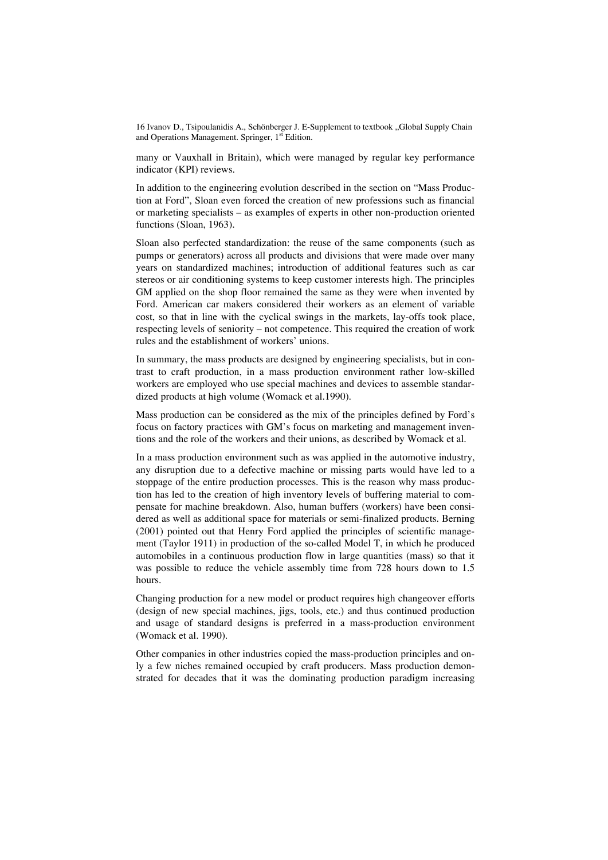many or Vauxhall in Britain), which were managed by regular key performance indicator (KPI) reviews.

In addition to the engineering evolution described in the section on "Mass Production at Ford", Sloan even forced the creation of new professions such as financial or marketing specialists – as examples of experts in other non-production oriented functions (Sloan, 1963).

Sloan also perfected standardization: the reuse of the same components (such as pumps or generators) across all products and divisions that were made over many years on standardized machines; introduction of additional features such as car stereos or air conditioning systems to keep customer interests high. The principles GM applied on the shop floor remained the same as they were when invented by Ford. American car makers considered their workers as an element of variable cost, so that in line with the cyclical swings in the markets, lay-offs took place, respecting levels of seniority – not competence. This required the creation of work rules and the establishment of workers' unions.

In summary, the mass products are designed by engineering specialists, but in contrast to craft production, in a mass production environment rather low-skilled workers are employed who use special machines and devices to assemble standardized products at high volume (Womack et al.1990).

Mass production can be considered as the mix of the principles defined by Ford's focus on factory practices with GM's focus on marketing and management inventions and the role of the workers and their unions, as described by Womack et al.

In a mass production environment such as was applied in the automotive industry, any disruption due to a defective machine or missing parts would have led to a stoppage of the entire production processes. This is the reason why mass production has led to the creation of high inventory levels of buffering material to compensate for machine breakdown. Also, human buffers (workers) have been considered as well as additional space for materials or semi-finalized products. Berning (2001) pointed out that Henry Ford applied the principles of scientific management (Taylor 1911) in production of the so-called Model T, in which he produced automobiles in a continuous production flow in large quantities (mass) so that it was possible to reduce the vehicle assembly time from 728 hours down to 1.5 hours.

Changing production for a new model or product requires high changeover efforts (design of new special machines, jigs, tools, etc.) and thus continued production and usage of standard designs is preferred in a mass-production environment (Womack et al. 1990).

Other companies in other industries copied the mass-production principles and only a few niches remained occupied by craft producers. Mass production demonstrated for decades that it was the dominating production paradigm increasing